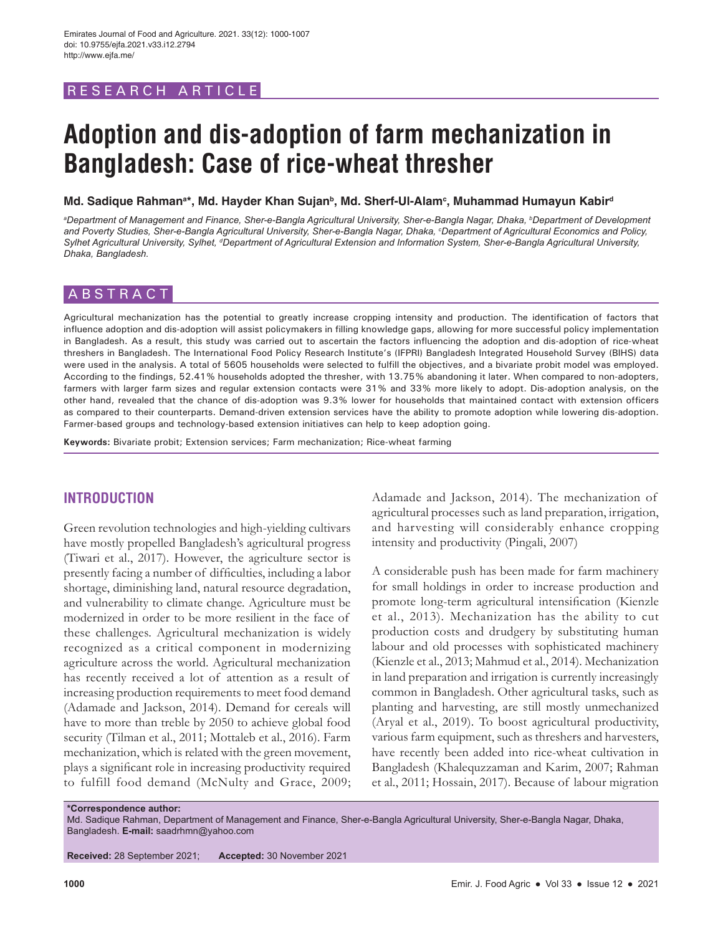# RESEARCH ARTICLE

# **Adoption and dis-adoption of farm mechanization in Bangladesh: Case of rice-wheat thresher**

Md. Sadique Rahmanª\*, Md. Hayder Khan Sujan<sup>ь</sup>, Md. Sherf-Ul-Alam<sup>c</sup>, Muhammad Humayun Kabir<sup>d</sup>

*a Department of Management and Finance, Sher-e-Bangla Agricultural University, Sher-e-Bangla Nagar, Dhaka, b Department of Development and Poverty Studies, Sher-e-Bangla Agricultural University, Sher-e-Bangla Nagar, Dhaka, c Department of Agricultural Economics and Policy,*  Sylhet Agricultural University, Sylhet, <sup>a</sup>Department of Agricultural Extension and Information System, Sher-e-Bangla Agricultural University, *Dhaka, Bangladesh.*

# ABSTRACT

Agricultural mechanization has the potential to greatly increase cropping intensity and production. The identification of factors that influence adoption and dis-adoption will assist policymakers in filling knowledge gaps, allowing for more successful policy implementation in Bangladesh. As a result, this study was carried out to ascertain the factors influencing the adoption and dis-adoption of rice-wheat threshers in Bangladesh. The International Food Policy Research Institute's (IFPRI) Bangladesh Integrated Household Survey (BIHS) data were used in the analysis. A total of 5605 households were selected to fulfill the objectives, and a bivariate probit model was employed. According to the findings, 52.41% households adopted the thresher, with 13.75% abandoning it later. When compared to non-adopters, farmers with larger farm sizes and regular extension contacts were 31% and 33% more likely to adopt. Dis-adoption analysis, on the other hand, revealed that the chance of dis-adoption was 9.3% lower for households that maintained contact with extension officers as compared to their counterparts. Demand-driven extension services have the ability to promote adoption while lowering dis-adoption. Farmer-based groups and technology-based extension initiatives can help to keep adoption going.

**Keywords:** Bivariate probit; Extension services; Farm mechanization; Rice-wheat farming

# **INTRODUCTION**

Green revolution technologies and high-yielding cultivars have mostly propelled Bangladesh's agricultural progress (Tiwari et al., 2017). However, the agriculture sector is presently facing a number of difficulties, including a labor shortage, diminishing land, natural resource degradation, and vulnerability to climate change. Agriculture must be modernized in order to be more resilient in the face of these challenges. Agricultural mechanization is widely recognized as a critical component in modernizing agriculture across the world. Agricultural mechanization has recently received a lot of attention as a result of increasing production requirements to meet food demand (Adamade and Jackson, 2014). Demand for cereals will have to more than treble by 2050 to achieve global food security (Tilman et al., 2011; Mottaleb et al., 2016). Farm mechanization, which is related with the green movement, plays a significant role in increasing productivity required to fulfill food demand (McNulty and Grace, 2009;

Adamade and Jackson, 2014). The mechanization of agricultural processes such as land preparation, irrigation, and harvesting will considerably enhance cropping intensity and productivity (Pingali, 2007)

A considerable push has been made for farm machinery for small holdings in order to increase production and promote long-term agricultural intensification (Kienzle et al., 2013). Mechanization has the ability to cut production costs and drudgery by substituting human labour and old processes with sophisticated machinery (Kienzle et al., 2013; Mahmud et al., 2014). Mechanization in land preparation and irrigation is currently increasingly common in Bangladesh. Other agricultural tasks, such as planting and harvesting, are still mostly unmechanized (Aryal et al., 2019). To boost agricultural productivity, various farm equipment, such as threshers and harvesters, have recently been added into rice-wheat cultivation in Bangladesh (Khalequzzaman and Karim, 2007; Rahman et al., 2011; Hossain, 2017). Because of labour migration

**\*Correspondence author:**

Md. Sadique Rahman, Department of Management and Finance, Sher-e-Bangla Agricultural University, Sher-e-Bangla Nagar, Dhaka, Bangladesh. **E-mail:** saadrhmn@yahoo.com

**Received:** 28 September 2021; **Accepted:** 30 November 2021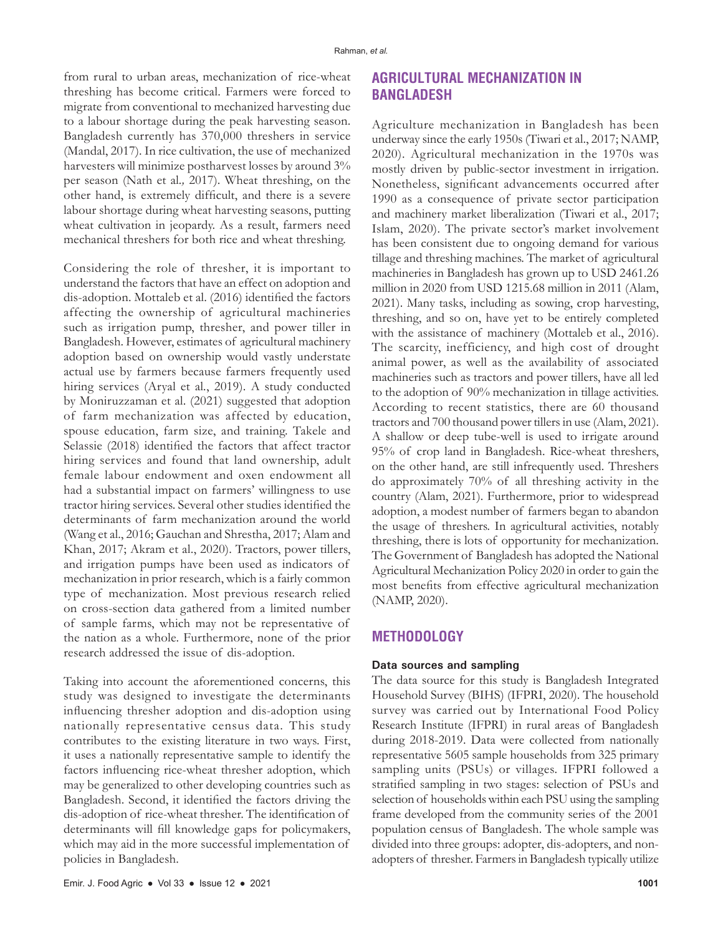from rural to urban areas, mechanization of rice-wheat threshing has become critical. Farmers were forced to migrate from conventional to mechanized harvesting due to a labour shortage during the peak harvesting season. Bangladesh currently has 370,000 threshers in service (Mandal, 2017). In rice cultivation, the use of mechanized harvesters will minimize postharvest losses by around 3% per season (Nath et al*.,* 2017). Wheat threshing, on the other hand, is extremely difficult, and there is a severe labour shortage during wheat harvesting seasons, putting wheat cultivation in jeopardy. As a result, farmers need mechanical threshers for both rice and wheat threshing.

Considering the role of thresher, it is important to understand the factors that have an effect on adoption and dis-adoption. Mottaleb et al. (2016) identified the factors affecting the ownership of agricultural machineries such as irrigation pump, thresher, and power tiller in Bangladesh. However, estimates of agricultural machinery adoption based on ownership would vastly understate actual use by farmers because farmers frequently used hiring services (Aryal et al*.*, 2019). A study conducted by Moniruzzaman et al. (2021) suggested that adoption of farm mechanization was affected by education, spouse education, farm size, and training. Takele and Selassie (2018) identified the factors that affect tractor hiring services and found that land ownership, adult female labour endowment and oxen endowment all had a substantial impact on farmers' willingness to use tractor hiring services. Several other studies identified the determinants of farm mechanization around the world (Wang et al., 2016; Gauchan and Shrestha, 2017; Alam and Khan, 2017; Akram et al., 2020). Tractors, power tillers, and irrigation pumps have been used as indicators of mechanization in prior research, which is a fairly common type of mechanization. Most previous research relied on cross-section data gathered from a limited number of sample farms, which may not be representative of the nation as a whole. Furthermore, none of the prior research addressed the issue of dis-adoption.

Taking into account the aforementioned concerns, this study was designed to investigate the determinants influencing thresher adoption and dis-adoption using nationally representative census data. This study contributes to the existing literature in two ways. First, it uses a nationally representative sample to identify the factors influencing rice-wheat thresher adoption, which may be generalized to other developing countries such as Bangladesh. Second, it identified the factors driving the dis-adoption of rice-wheat thresher. The identification of determinants will fill knowledge gaps for policymakers, which may aid in the more successful implementation of policies in Bangladesh.

# **AGRICULTURAL MECHANIZATION IN BANGLADESH**

Agriculture mechanization in Bangladesh has been underway since the early 1950s (Tiwari et al., 2017; NAMP, 2020). Agricultural mechanization in the 1970s was mostly driven by public-sector investment in irrigation. Nonetheless, significant advancements occurred after 1990 as a consequence of private sector participation and machinery market liberalization (Tiwari et al., 2017; Islam, 2020). The private sector's market involvement has been consistent due to ongoing demand for various tillage and threshing machines. The market of agricultural machineries in Bangladesh has grown up to USD 2461.26 million in 2020 from USD 1215.68 million in 2011 (Alam, 2021). Many tasks, including as sowing, crop harvesting, threshing, and so on, have yet to be entirely completed with the assistance of machinery (Mottaleb et al., 2016). The scarcity, inefficiency, and high cost of drought animal power, as well as the availability of associated machineries such as tractors and power tillers, have all led to the adoption of 90% mechanization in tillage activities. According to recent statistics, there are 60 thousand tractors and 700 thousand power tillers in use (Alam, 2021). A shallow or deep tube-well is used to irrigate around 95% of crop land in Bangladesh. Rice-wheat threshers, on the other hand, are still infrequently used. Threshers do approximately 70% of all threshing activity in the country (Alam, 2021). Furthermore, prior to widespread adoption, a modest number of farmers began to abandon the usage of threshers. In agricultural activities, notably threshing, there is lots of opportunity for mechanization. The Government of Bangladesh has adopted the National Agricultural Mechanization Policy 2020 in order to gain the most benefits from effective agricultural mechanization (NAMP, 2020).

# **METHODOLOGY**

#### **Data sources and sampling**

The data source for this study is Bangladesh Integrated Household Survey (BIHS) (IFPRI, 2020). The household survey was carried out by International Food Policy Research Institute (IFPRI) in rural areas of Bangladesh during 2018-2019. Data were collected from nationally representative 5605 sample households from 325 primary sampling units (PSUs) or villages. IFPRI followed a stratified sampling in two stages: selection of PSUs and selection of households within each PSU using the sampling frame developed from the community series of the 2001 population census of Bangladesh. The whole sample was divided into three groups: adopter, dis-adopters, and nonadopters of thresher. Farmers in Bangladesh typically utilize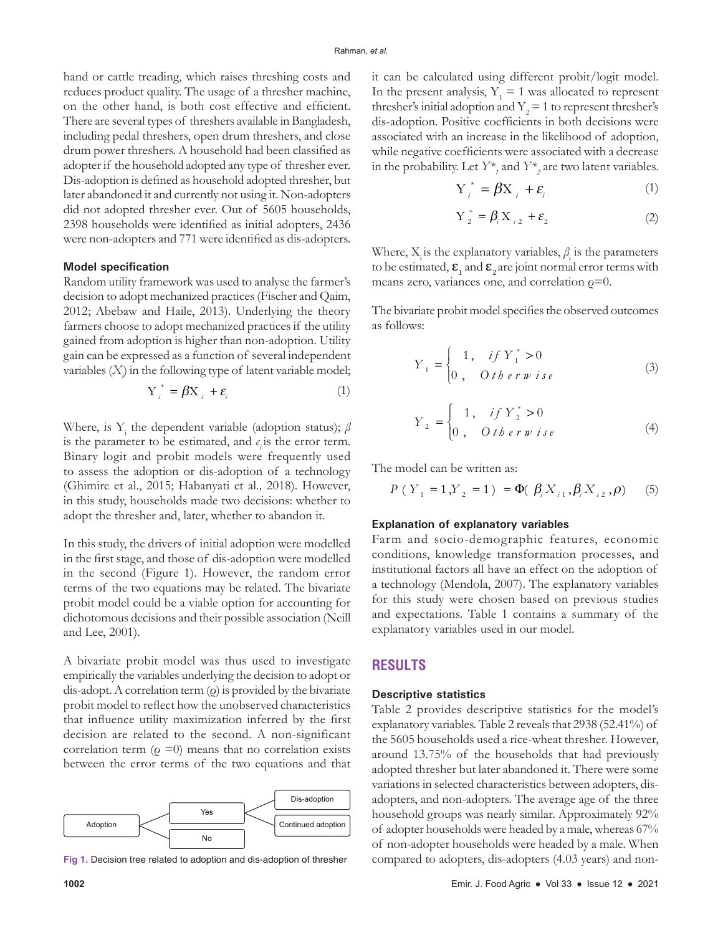hand or cattle treading, which raises threshing costs and reduces product quality. The usage of a thresher machine, on the other hand, is both cost effective and efficient. There are several types of threshers available in Bangladesh, including pedal threshers, open drum threshers, and close drum power threshers. A household had been classified as adopter if the household adopted any type of thresher ever. Dis-adoption is defined as household adopted thresher, but later abandoned it and currently not using it. Non-adopters did not adopted thresher ever. Out of 5605 households, 2398 households were identified as initial adopters, 2436 were non-adopters and 771 were identified as dis-adopters.

#### **Model specification**

Random utility framework was used to analyse the farmer's decision to adopt mechanized practices (Fischer and Qaim, 2012; Abebaw and Haile, 2013). Underlying the theory farmers choose to adopt mechanized practices if the utility gained from adoption is higher than non-adoption. Utility gain can be expressed as a function of several independent variables (*Xi* ) in the following type of latent variable model;

$$
Y_i^* = \beta X_i + \varepsilon_i \tag{1}
$$

Where, is Y<sub>i</sub> the dependent variable (adoption status); *β* is the parameter to be estimated, and  $\epsilon$ <sub>*i*</sub> is the error term. Binary logit and probit models were frequently used to assess the adoption or dis-adoption of a technology (Ghimire et al., 2015; Habanyati et al*.,* 2018). However, in this study, households made two decisions: whether to adopt the thresher and, later, whether to abandon it.

In this study, the drivers of initial adoption were modelled in the first stage, and those of dis-adoption were modelled in the second (Figure 1). However, the random error terms of the two equations may be related. The bivariate probit model could be a viable option for accounting for dichotomous decisions and their possible association (Neill and Lee, 2001).

A bivariate probit model was thus used to investigate empirically the variables underlying the decision to adopt or dis-adopt. A correlation term  $(\rho)$  is provided by the bivariate probit model to reflect how the unobserved characteristics that influence utility maximization inferred by the first decision are related to the second. A non-significant correlation term ( $\rho = 0$ ) means that no correlation exists between the error terms of the two equations and that



**Fig 1.** Decision tree related to adoption and dis-adoption of thresher

it can be calculated using different probit/logit model. In the present analysis,  $Y_1 = 1$  was allocated to represent thresher's initial adoption and  $Y_2 = 1$  to represent thresher's dis-adoption. Positive coefficients in both decisions were associated with an increase in the likelihood of adoption, while negative coefficients were associated with a decrease in the probability. Let  $Y^*_{t}$  and  $Y^*_{t}$  are two latent variables.

$$
Y_i^* = \beta X_i + \varepsilon_i \tag{1}
$$

$$
Y_{2}^* = \beta_i X_{i2} + \varepsilon_2 \tag{2}
$$

Where,  $X_i$  is the explanatory variables,  $\beta_i$  is the parameters to be estimated,  $\boldsymbol{\epsilon}_1$  and  $\boldsymbol{\epsilon}_2$  are joint normal error terms with means zero, variances one, and correlation  $\rho=0$ .

The bivariate probit model specifies the observed outcomes as follows:

$$
Y_{1} = \begin{cases} 1, & if Y_{1}^{*} > 0 \\ 0, & O \text{ } t \text{ } b \text{ } e \text{ } r \text{ } w \text{ } i \text{ } s \text{ } e \end{cases}
$$
(3)

$$
Y_2 = \begin{cases} 1, & if Y_2^* > 0 \\ 0, & O \text{ the row } i \text{ s.e.} \end{cases}
$$
 (4)

The model can be written as:

$$
P(Y_1 = 1, Y_2 = 1) = \Phi(\beta_i X_{i1}, \beta_i X_{i2}, \rho) \tag{5}
$$

#### **Explanation of explanatory variables**

Farm and socio-demographic features, economic conditions, knowledge transformation processes, and institutional factors all have an effect on the adoption of a technology (Mendola, 2007). The explanatory variables for this study were chosen based on previous studies and expectations. Table 1 contains a summary of the explanatory variables used in our model.

## **RESULTS**

#### **Descriptive statistics**

Table 2 provides descriptive statistics for the model's explanatory variables. Table 2 reveals that 2938 (52.41%) of the 5605 households used a rice-wheat thresher. However, around 13.75% of the households that had previously adopted thresher but later abandoned it. There were some variations in selected characteristics between adopters, disadopters, and non-adopters. The average age of the three household groups was nearly similar. Approximately 92% of adopter households were headed by a male, whereas 67% of non-adopter households were headed by a male. When compared to adopters, dis-adopters (4.03 years) and non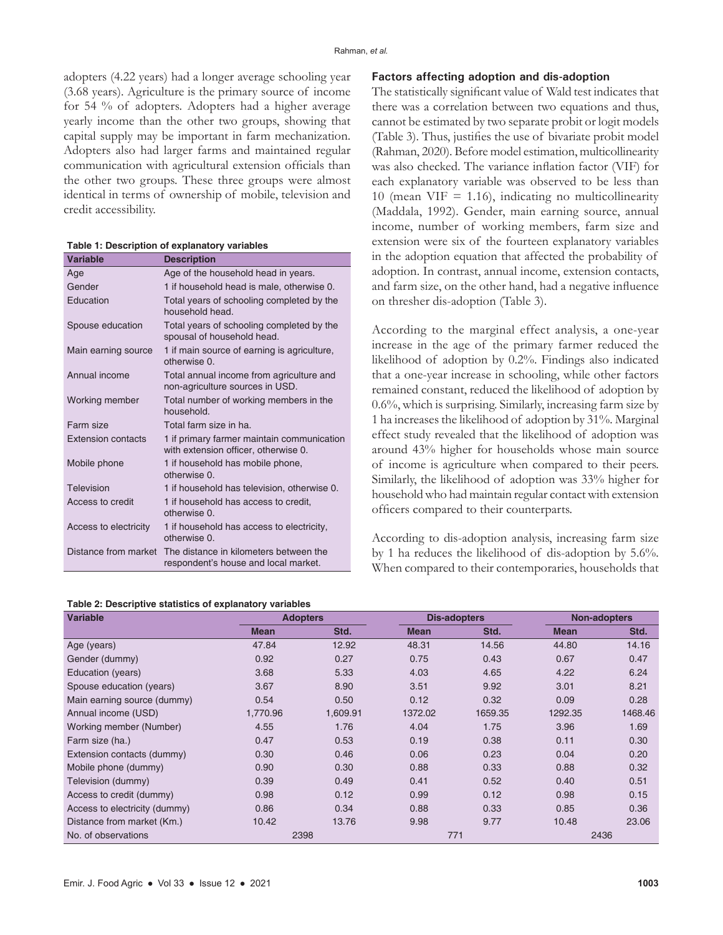adopters (4.22 years) had a longer average schooling year (3.68 years). Agriculture is the primary source of income for 54 % of adopters. Adopters had a higher average yearly income than the other two groups, showing that capital supply may be important in farm mechanization. Adopters also had larger farms and maintained regular communication with agricultural extension officials than the other two groups. These three groups were almost identical in terms of ownership of mobile, television and credit accessibility.

#### **Table 1: Description of explanatory variables**

| Variable                  | <b>Description</b>                                                                 |  |  |  |
|---------------------------|------------------------------------------------------------------------------------|--|--|--|
| Age                       | Age of the household head in years.                                                |  |  |  |
| Gender                    | 1 if household head is male, otherwise 0.                                          |  |  |  |
| Education                 | Total years of schooling completed by the<br>household head.                       |  |  |  |
| Spouse education          | Total years of schooling completed by the<br>spousal of household head.            |  |  |  |
| Main earning source       | 1 if main source of earning is agriculture,<br>otherwise 0.                        |  |  |  |
| Annual income             | Total annual income from agriculture and<br>non-agriculture sources in USD.        |  |  |  |
| Working member            | Total number of working members in the<br>household.                               |  |  |  |
| Farm size                 | Total farm size in ha.                                                             |  |  |  |
| <b>Extension contacts</b> | 1 if primary farmer maintain communication<br>with extension officer, otherwise 0. |  |  |  |
| Mobile phone              | 1 if household has mobile phone,<br>otherwise 0.                                   |  |  |  |
| Television                | 1 if household has television, otherwise 0.                                        |  |  |  |
| Access to credit          | 1 if household has access to credit.<br>otherwise 0.                               |  |  |  |
| Access to electricity     | 1 if household has access to electricity,<br>otherwise 0.                          |  |  |  |
| Distance from market      | The distance in kilometers between the<br>respondent's house and local market.     |  |  |  |

## **Table 2: Descriptive statistics of explanatory variables**

## **Factors affecting adoption and dis-adoption**

The statistically significant value of Wald test indicates that there was a correlation between two equations and thus, cannot be estimated by two separate probit or logit models (Table 3). Thus, justifies the use of bivariate probit model (Rahman, 2020). Before model estimation, multicollinearity was also checked. The variance inflation factor (VIF) for each explanatory variable was observed to be less than 10 (mean VIF = 1.16), indicating no multicollinearity (Maddala, 1992). Gender, main earning source, annual income, number of working members, farm size and extension were six of the fourteen explanatory variables in the adoption equation that affected the probability of adoption. In contrast, annual income, extension contacts, and farm size, on the other hand, had a negative influence on thresher dis-adoption (Table 3).

According to the marginal effect analysis, a one-year increase in the age of the primary farmer reduced the likelihood of adoption by 0.2%. Findings also indicated that a one-year increase in schooling, while other factors remained constant, reduced the likelihood of adoption by 0.6%, which is surprising. Similarly, increasing farm size by 1 ha increases the likelihood of adoption by 31%. Marginal effect study revealed that the likelihood of adoption was around 43% higher for households whose main source of income is agriculture when compared to their peers. Similarly, the likelihood of adoption was 33% higher for household who had maintain regular contact with extension officers compared to their counterparts.

According to dis-adoption analysis, increasing farm size by 1 ha reduces the likelihood of dis-adoption by 5.6%. When compared to their contemporaries, households that

| <b>Variable</b>               | <b>Adopters</b> |          | <b>Dis-adopters</b> |         | <b>Non-adopters</b> |         |
|-------------------------------|-----------------|----------|---------------------|---------|---------------------|---------|
|                               | <b>Mean</b>     | Std.     | <b>Mean</b>         | Std.    | <b>Mean</b>         | Std.    |
| Age (years)                   | 47.84           | 12.92    | 48.31               | 14.56   | 44.80               | 14.16   |
| Gender (dummy)                | 0.92            | 0.27     | 0.75                | 0.43    | 0.67                | 0.47    |
| Education (years)             | 3.68            | 5.33     | 4.03                | 4.65    | 4.22                | 6.24    |
| Spouse education (years)      | 3.67            | 8.90     | 3.51                | 9.92    | 3.01                | 8.21    |
| Main earning source (dummy)   | 0.54            | 0.50     | 0.12                | 0.32    | 0.09                | 0.28    |
| Annual income (USD)           | 1,770.96        | 1,609.91 | 1372.02             | 1659.35 | 1292.35             | 1468.46 |
| Working member (Number)       | 4.55            | 1.76     | 4.04                | 1.75    | 3.96                | 1.69    |
| Farm size (ha.)               | 0.47            | 0.53     | 0.19                | 0.38    | 0.11                | 0.30    |
| Extension contacts (dummy)    | 0.30            | 0.46     | 0.06                | 0.23    | 0.04                | 0.20    |
| Mobile phone (dummy)          | 0.90            | 0.30     | 0.88                | 0.33    | 0.88                | 0.32    |
| Television (dummy)            | 0.39            | 0.49     | 0.41                | 0.52    | 0.40                | 0.51    |
| Access to credit (dummy)      | 0.98            | 0.12     | 0.99                | 0.12    | 0.98                | 0.15    |
| Access to electricity (dummy) | 0.86            | 0.34     | 0.88                | 0.33    | 0.85                | 0.36    |
| Distance from market (Km.)    | 10.42           | 13.76    | 9.98                | 9.77    | 10.48               | 23.06   |
| No. of observations           | 2398            |          |                     | 771     |                     | 2436    |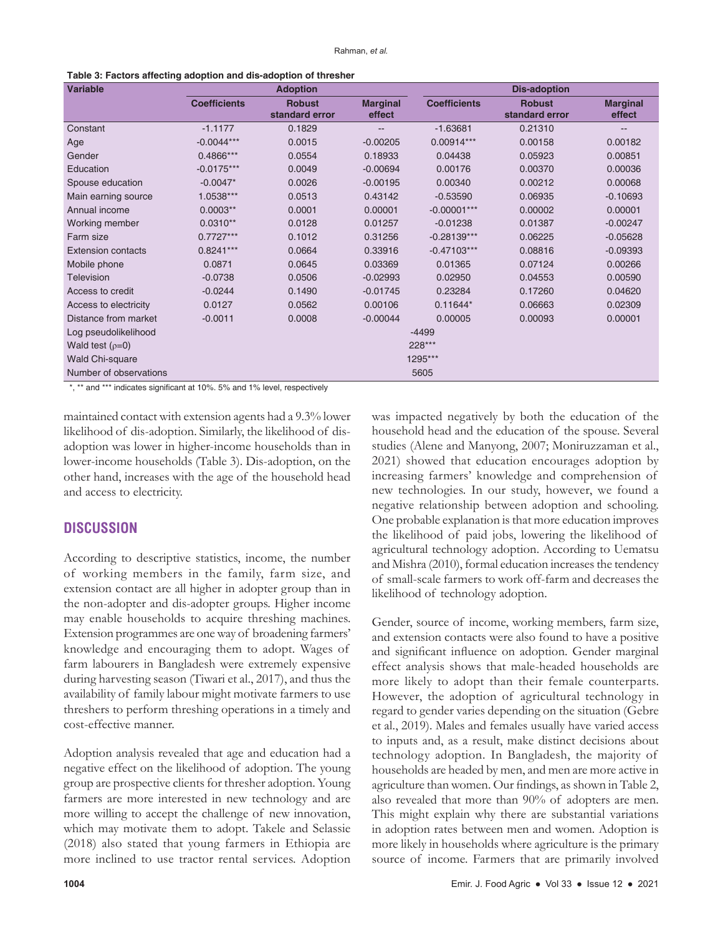| <b>Variable</b>           |                     | <b>Adoption</b>                 |                           | <b>Dis-adoption</b> |                                 |                           |  |  |
|---------------------------|---------------------|---------------------------------|---------------------------|---------------------|---------------------------------|---------------------------|--|--|
|                           | <b>Coefficients</b> | <b>Robust</b><br>standard error | <b>Marginal</b><br>effect | <b>Coefficients</b> | <b>Robust</b><br>standard error | <b>Marginal</b><br>effect |  |  |
| Constant                  | $-1.1177$           | 0.1829                          | --                        | $-1.63681$          | 0.21310                         | --                        |  |  |
| Age                       | $-0.0044***$        | 0.0015                          | $-0.00205$                | 0.00914***          | 0.00158                         | 0.00182                   |  |  |
| Gender                    | 0.4866***           | 0.0554                          | 0.18933                   | 0.04438             | 0.05923                         | 0.00851                   |  |  |
| Education                 | $-0.0175***$        | 0.0049                          | $-0.00694$                | 0.00176             | 0.00370                         | 0.00036                   |  |  |
| Spouse education          | $-0.0047*$          | 0.0026                          | $-0.00195$                | 0.00340             | 0.00212                         | 0.00068                   |  |  |
| Main earning source       | 1.0538***           | 0.0513                          | 0.43142                   | $-0.53590$          | 0.06935                         | $-0.10693$                |  |  |
| Annual income             | $0.0003**$          | 0.0001                          | 0.00001                   | $-0.00001***$       | 0.00002                         | 0.00001                   |  |  |
| Working member            | $0.0310**$          | 0.0128                          | 0.01257                   | $-0.01238$          | 0.01387                         | $-0.00247$                |  |  |
| Farm size                 | $0.7727***$         | 0.1012                          | 0.31256                   | $-0.28139***$       | 0.06225                         | $-0.05628$                |  |  |
| <b>Extension contacts</b> | $0.8241***$         | 0.0664                          | 0.33916                   | $-0.47103***$       | 0.08816                         | $-0.09393$                |  |  |
| Mobile phone              | 0.0871              | 0.0645                          | 0.03369                   | 0.01365             | 0.07124                         | 0.00266                   |  |  |
| <b>Television</b>         | $-0.0738$           | 0.0506                          | $-0.02993$                | 0.02950             | 0.04553                         | 0.00590                   |  |  |
| Access to credit          | $-0.0244$           | 0.1490                          | $-0.01745$                | 0.23284             | 0.17260                         | 0.04620                   |  |  |
| Access to electricity     | 0.0127              | 0.0562                          | 0.00106                   | $0.11644*$          | 0.06663                         | 0.02309                   |  |  |
| Distance from market      | $-0.0011$           | 0.0008                          | $-0.00044$                | 0.00005             | 0.00093                         | 0.00001                   |  |  |
| Log pseudolikelihood      |                     | $-4499$                         |                           |                     |                                 |                           |  |  |
| Wald test $(p=0)$         |                     | 228***                          |                           |                     |                                 |                           |  |  |
| Wald Chi-square           |                     | 1295***                         |                           |                     |                                 |                           |  |  |
| Number of observations    |                     |                                 |                           | 5605                |                                 |                           |  |  |

\*, \*\* and \*\*\* indicates significant at 10%, 5% and 1% level, respectively

maintained contact with extension agents had a 9.3% lower likelihood of dis-adoption. Similarly, the likelihood of disadoption was lower in higher-income households than in lower-income households (Table 3). Dis-adoption, on the other hand, increases with the age of the household head and access to electricity.

## **DISCUSSION**

According to descriptive statistics, income, the number of working members in the family, farm size, and extension contact are all higher in adopter group than in the non-adopter and dis-adopter groups. Higher income may enable households to acquire threshing machines. Extension programmes are one way of broadening farmers' knowledge and encouraging them to adopt. Wages of farm labourers in Bangladesh were extremely expensive during harvesting season (Tiwari et al., 2017), and thus the availability of family labour might motivate farmers to use threshers to perform threshing operations in a timely and cost-effective manner.

Adoption analysis revealed that age and education had a negative effect on the likelihood of adoption. The young group are prospective clients for thresher adoption. Young farmers are more interested in new technology and are more willing to accept the challenge of new innovation, which may motivate them to adopt. Takele and Selassie (2018) also stated that young farmers in Ethiopia are more inclined to use tractor rental services. Adoption

was impacted negatively by both the education of the household head and the education of the spouse. Several studies (Alene and Manyong, 2007; Moniruzzaman et al., 2021) showed that education encourages adoption by increasing farmers' knowledge and comprehension of new technologies. In our study, however, we found a negative relationship between adoption and schooling. One probable explanation is that more education improves the likelihood of paid jobs, lowering the likelihood of agricultural technology adoption. According to Uematsu and Mishra (2010), formal education increases the tendency of small-scale farmers to work off-farm and decreases the likelihood of technology adoption.

Gender, source of income, working members, farm size, and extension contacts were also found to have a positive and significant influence on adoption. Gender marginal effect analysis shows that male-headed households are more likely to adopt than their female counterparts. However, the adoption of agricultural technology in regard to gender varies depending on the situation (Gebre et al., 2019). Males and females usually have varied access to inputs and, as a result, make distinct decisions about technology adoption. In Bangladesh, the majority of households are headed by men, and men are more active in agriculture than women. Our findings, as shown in Table 2, also revealed that more than 90% of adopters are men. This might explain why there are substantial variations in adoption rates between men and women. Adoption is more likely in households where agriculture is the primary source of income. Farmers that are primarily involved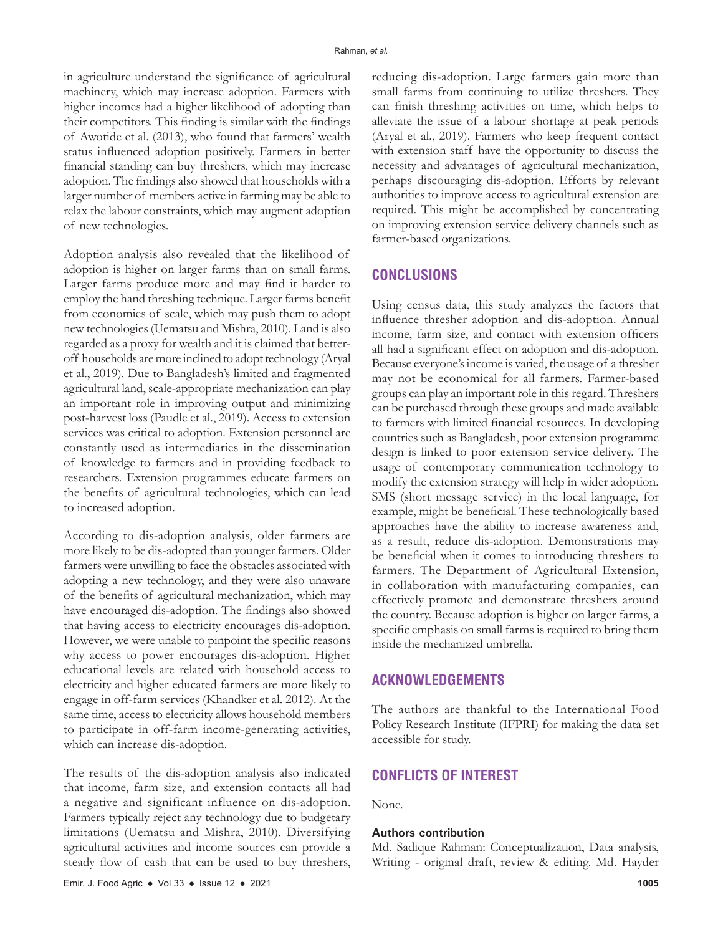in agriculture understand the significance of agricultural machinery, which may increase adoption. Farmers with higher incomes had a higher likelihood of adopting than their competitors. This finding is similar with the findings of Awotide et al. (2013), who found that farmers' wealth status influenced adoption positively. Farmers in better financial standing can buy threshers, which may increase adoption. The findings also showed that households with a larger number of members active in farming may be able to relax the labour constraints, which may augment adoption of new technologies.

Adoption analysis also revealed that the likelihood of adoption is higher on larger farms than on small farms. Larger farms produce more and may find it harder to employ the hand threshing technique. Larger farms benefit from economies of scale, which may push them to adopt new technologies (Uematsu and Mishra, 2010). Land is also regarded as a proxy for wealth and it is claimed that betteroff households are more inclined to adopt technology (Aryal et al., 2019). Due to Bangladesh's limited and fragmented agricultural land, scale-appropriate mechanization can play an important role in improving output and minimizing post-harvest loss (Paudle et al., 2019). Access to extension services was critical to adoption. Extension personnel are constantly used as intermediaries in the dissemination of knowledge to farmers and in providing feedback to researchers. Extension programmes educate farmers on the benefits of agricultural technologies, which can lead to increased adoption.

According to dis-adoption analysis, older farmers are more likely to be dis-adopted than younger farmers. Older farmers were unwilling to face the obstacles associated with adopting a new technology, and they were also unaware of the benefits of agricultural mechanization, which may have encouraged dis-adoption. The findings also showed that having access to electricity encourages dis-adoption. However, we were unable to pinpoint the specific reasons why access to power encourages dis-adoption. Higher educational levels are related with household access to electricity and higher educated farmers are more likely to engage in off-farm services (Khandker et al. 2012). At the same time, access to electricity allows household members to participate in off-farm income-generating activities, which can increase dis-adoption.

The results of the dis-adoption analysis also indicated that income, farm size, and extension contacts all had a negative and significant influence on dis-adoption. Farmers typically reject any technology due to budgetary limitations (Uematsu and Mishra, 2010). Diversifying agricultural activities and income sources can provide a steady flow of cash that can be used to buy threshers,

reducing dis-adoption. Large farmers gain more than small farms from continuing to utilize threshers. They can finish threshing activities on time, which helps to alleviate the issue of a labour shortage at peak periods (Aryal et al., 2019). Farmers who keep frequent contact with extension staff have the opportunity to discuss the necessity and advantages of agricultural mechanization, perhaps discouraging dis-adoption. Efforts by relevant authorities to improve access to agricultural extension are required. This might be accomplished by concentrating on improving extension service delivery channels such as farmer-based organizations.

## **CONCLUSIONS**

Using census data, this study analyzes the factors that influence thresher adoption and dis-adoption. Annual income, farm size, and contact with extension officers all had a significant effect on adoption and dis-adoption. Because everyone's income is varied, the usage of a thresher may not be economical for all farmers. Farmer-based groups can play an important role in this regard. Threshers can be purchased through these groups and made available to farmers with limited financial resources. In developing countries such as Bangladesh, poor extension programme design is linked to poor extension service delivery. The usage of contemporary communication technology to modify the extension strategy will help in wider adoption. SMS (short message service) in the local language, for example, might be beneficial. These technologically based approaches have the ability to increase awareness and, as a result, reduce dis-adoption. Demonstrations may be beneficial when it comes to introducing threshers to farmers. The Department of Agricultural Extension, in collaboration with manufacturing companies, can effectively promote and demonstrate threshers around the country. Because adoption is higher on larger farms, a specific emphasis on small farms is required to bring them inside the mechanized umbrella.

## **ACKNOWLEDGEMENTS**

The authors are thankful to the International Food Policy Research Institute (IFPRI) for making the data set accessible for study.

## **CONFLICTS OF INTEREST**

None.

#### **Authors contribution**

Md. Sadique Rahman: Conceptualization, Data analysis, Writing - original draft, review & editing. Md. Hayder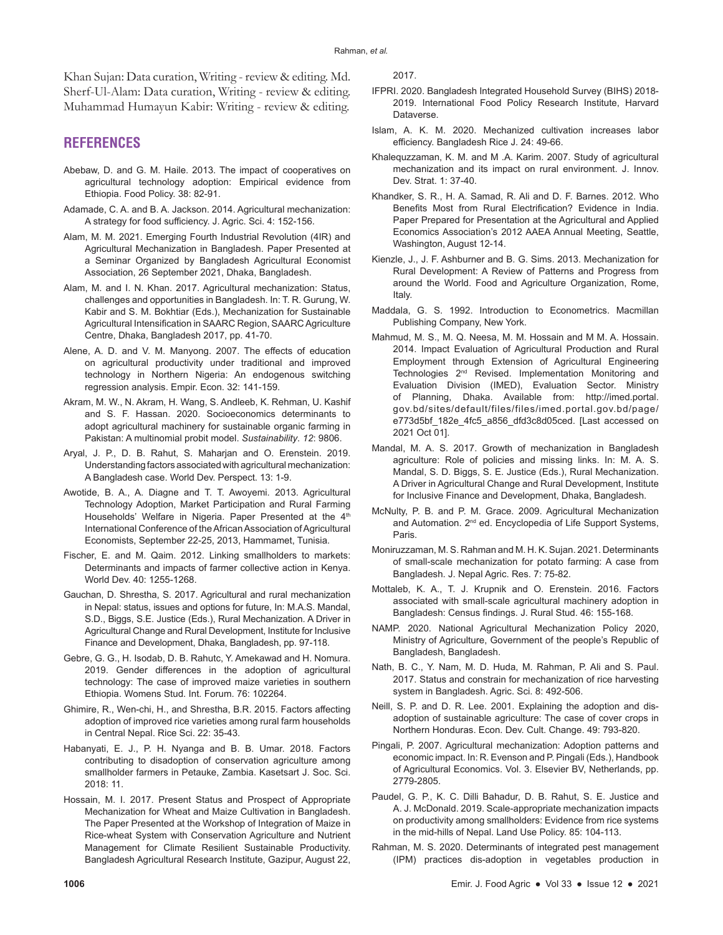Khan Sujan: Data curation, Writing - review & editing. Md. Sherf-Ul-Alam: Data curation, Writing - review & editing. Muhammad Humayun Kabir: Writing - review & editing.

# **REFERENCES**

- Abebaw, D. and G. M. Haile. 2013. The impact of cooperatives on agricultural technology adoption: Empirical evidence from Ethiopia. Food Policy. 38: 82-91.
- Adamade, C. A. and B. A. Jackson. 2014. Agricultural mechanization: A strategy for food sufficiency. J. Agric. Sci. 4: 152-156.
- Alam, M. M. 2021. Emerging Fourth Industrial Revolution (4IR) and Agricultural Mechanization in Bangladesh. Paper Presented at a Seminar Organized by Bangladesh Agricultural Economist Association, 26 September 2021, Dhaka, Bangladesh.
- Alam, M. and I. N. Khan. 2017. Agricultural mechanization: Status, challenges and opportunities in Bangladesh. In: T. R. Gurung, W. Kabir and S. M. Bokhtiar (Eds.), Mechanization for Sustainable Agricultural Intensification in SAARC Region, SAARC Agriculture Centre, Dhaka, Bangladesh 2017, pp. 41-70.
- Alene, A. D. and V. M. Manyong. 2007. The effects of education on agricultural productivity under traditional and improved technology in Northern Nigeria: An endogenous switching regression analysis. Empir. Econ. 32: 141-159.
- Akram, M. W., N. Akram, H. Wang, S. Andleeb, K. Rehman, U. Kashif and S. F. Hassan. 2020. Socioeconomics determinants to adopt agricultural machinery for sustainable organic farming in Pakistan: A multinomial probit model. *Sustainability*. *12*: 9806.
- Aryal, J. P., D. B. Rahut, S. Maharjan and O. Erenstein. 2019. Understanding factors associated with agricultural mechanization: A Bangladesh case. World Dev. Perspect. 13: 1-9.
- Awotide, B. A., A. Diagne and T. T. Awoyemi. 2013. Agricultural Technology Adoption, Market Participation and Rural Farming Households' Welfare in Nigeria. Paper Presented at the 4<sup>th</sup> International Conference of the African Association of Agricultural Economists, September 22-25, 2013, Hammamet, Tunisia.
- Fischer, E. and M. Qaim. 2012. Linking smallholders to markets: Determinants and impacts of farmer collective action in Kenya. World Dev. 40: 1255-1268.
- Gauchan, D. Shrestha, S. 2017. Agricultural and rural mechanization in Nepal: status, issues and options for future, In: M.A.S. Mandal, S.D., Biggs, S.E. Justice (Eds.), Rural Mechanization. A Driver in Agricultural Change and Rural Development, Institute for Inclusive Finance and Development, Dhaka, Bangladesh, pp. 97-118.
- Gebre, G. G., H. Isodab, D. B. Rahutc, Y. Amekawad and H. Nomura. 2019. Gender differences in the adoption of agricultural technology: The case of improved maize varieties in southern Ethiopia. Womens Stud. Int. Forum. 76: 102264.
- Ghimire, R., Wen-chi, H., and Shrestha, B.R. 2015. Factors affecting adoption of improved rice varieties among rural farm households in Central Nepal. Rice Sci. 22: 35-43.
- Habanyati, E. J., P. H. Nyanga and B. B. Umar. 2018. Factors contributing to disadoption of conservation agriculture among smallholder farmers in Petauke, Zambia. Kasetsart J. Soc. Sci. 2018: 11.
- Hossain, M. I. 2017. Present Status and Prospect of Appropriate Mechanization for Wheat and Maize Cultivation in Bangladesh. The Paper Presented at the Workshop of Integration of Maize in Rice-wheat System with Conservation Agriculture and Nutrient Management for Climate Resilient Sustainable Productivity. Bangladesh Agricultural Research Institute, Gazipur, August 22,

2017.

- IFPRI. 2020. Bangladesh Integrated Household Survey (BIHS) 2018- 2019. International Food Policy Research Institute, Harvard Dataverse.
- Islam, A. K. M. 2020. Mechanized cultivation increases labor efficiency. Bangladesh Rice J. 24: 49-66.
- Khalequzzaman, K. M. and M .A. Karim. 2007. Study of agricultural mechanization and its impact on rural environment. J. Innov. Dev. Strat. 1: 37-40.
- Khandker, S. R., H. A. Samad, R. Ali and D. F. Barnes. 2012. Who Benefits Most from Rural Electrification? Evidence in India. Paper Prepared for Presentation at the Agricultural and Applied Economics Association's 2012 AAEA Annual Meeting, Seattle, Washington, August 12-14.
- Kienzle, J., J. F. Ashburner and B. G. Sims. 2013. Mechanization for Rural Development: A Review of Patterns and Progress from around the World. Food and Agriculture Organization, Rome, Italy.
- Maddala, G. S. 1992. Introduction to Econometrics. Macmillan Publishing Company, New York.
- Mahmud, M. S., M. Q. Neesa, M. M. Hossain and M M. A. Hossain. 2014. Impact Evaluation of Agricultural Production and Rural Employment through Extension of Agricultural Engineering Technologies 2<sup>nd</sup> Revised. Implementation Monitoring and Evaluation Division (IMED), Evaluation Sector. Ministry of Planning, Dhaka. Available from: http://imed.portal. gov.bd/sites/default/files/files/imed.portal.gov.bd/page/ e773d5bf\_182e\_4fc5\_a856\_dfd3c8d05ced. [Last accessed on 2021 Oct 01].
- Mandal, M. A. S. 2017. Growth of mechanization in Bangladesh agriculture: Role of policies and missing links. In: M. A. S. Mandal, S. D. Biggs, S. E. Justice (Eds.), Rural Mechanization. A Driver in Agricultural Change and Rural Development, Institute for Inclusive Finance and Development, Dhaka, Bangladesh.
- McNulty, P. B. and P. M. Grace. 2009. Agricultural Mechanization and Automation. 2<sup>nd</sup> ed. Encyclopedia of Life Support Systems, Paris.
- Moniruzzaman, M. S. Rahman and M. H. K. Sujan. 2021. Determinants of small-scale mechanization for potato farming: A case from Bangladesh. J. Nepal Agric. Res. 7: 75-82.
- Mottaleb, K. A., T. J. Krupnik and O. Erenstein. 2016. Factors associated with small-scale agricultural machinery adoption in Bangladesh: Census findings. J. Rural Stud. 46: 155-168.
- NAMP. 2020. National Agricultural Mechanization Policy 2020, Ministry of Agriculture, Government of the people's Republic of Bangladesh, Bangladesh.
- Nath, B. C., Y. Nam, M. D. Huda, M. Rahman, P. Ali and S. Paul. 2017. Status and constrain for mechanization of rice harvesting system in Bangladesh. Agric. Sci. 8: 492-506.
- Neill, S. P. and D. R. Lee. 2001. Explaining the adoption and disadoption of sustainable agriculture: The case of cover crops in Northern Honduras. Econ. Dev. Cult. Change. 49: 793-820.
- Pingali, P. 2007. Agricultural mechanization: Adoption patterns and economic impact. In: R. Evenson and P. Pingali (Eds.), Handbook of Agricultural Economics. Vol. 3. Elsevier BV, Netherlands, pp. 2779-2805.
- Paudel, G. P., K. C. Dilli Bahadur, D. B. Rahut, S. E. Justice and A. J. McDonald. 2019. Scale-appropriate mechanization impacts on productivity among smallholders: Evidence from rice systems in the mid-hills of Nepal. Land Use Policy. 85: 104-113.
- Rahman, M. S. 2020. Determinants of integrated pest management (IPM) practices dis-adoption in vegetables production in